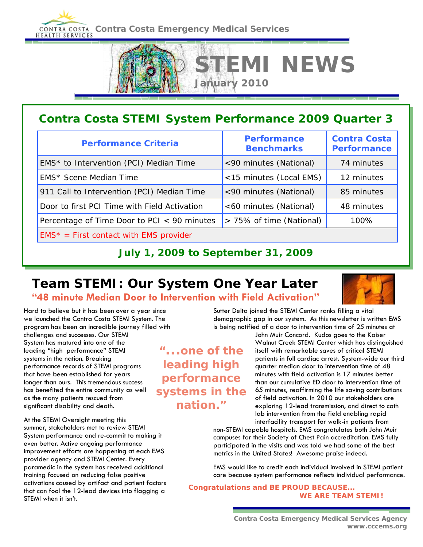**CONTRA COSTA Contra Costa Emergency Medical Services** 



# **Contra Costa STEMI System Performance 2009 Quarter 3**

| <b>Performance Criteria</b>                  | <b>Performance</b><br><b>Benchmarks</b> | <b>Contra Costa</b><br><b>Performance</b> |
|----------------------------------------------|-----------------------------------------|-------------------------------------------|
| EMS* to Intervention (PCI) Median Time       | <90 minutes (National)                  | 74 minutes                                |
| EMS* Scene Median Time                       | <15 minutes (Local EMS)                 | 12 minutes                                |
| 911 Call to Intervention (PCI) Median Time   | <90 minutes (National)                  | 85 minutes                                |
| Door to first PCI Time with Field Activation | <60 minutes (National)                  | 48 minutes                                |
| Percentage of Time Door to PCI < 90 minutes  | > 75% of time (National)                | 100%                                      |
| $EMS^*$ = First contact with EMS provider    |                                         |                                           |

#### **July 1, 2009 to September 31, 2009**

#### **Team STEMI: Our System One Year Later "48 minute Median Door to Intervention with Field Activation"**



Hard to believe but it has been over a year since we launched the Contra Costa STEMI System. The program has been an incredible journey filled with

challenges and successes. Our STEMI System has matured into one of the leading "high performance" STEMI systems in the nation. Breaking performance records of STEMI programs that have been established for years longer than ours. This tremendous success has benefited the entire community as well as the many patients rescued from significant disability and death.

At the STEMI Oversight meeting this summer, stakeholders met to review STEMI System performance and re-commit to making it even better. Active ongoing performance improvement efforts are happening at each EMS provider agency and STEMI Center. Every paramedic in the system has received additional training focused on reducing false positive activations caused by artifact and patient factors that can fool the 12-lead devices into flagging a STEMI when it isn't.

demographic gap in our system. As this newsletter is written EMS is being notified of a door to intervention time of 25 minutes at John Muir Concord. Kudos goes to the Kaiser

Sutter Delta joined the STEMI Center ranks filling a vital

Walnut Creek STEMI Center which has distinguished itself with remarkable saves of critical STEMI patients in full cardiac arrest. System-wide our third quarter median door to intervention time of 48 minutes with field activation is 17 minutes better than our cumulative ED door to intervention time of 65 minutes, reaffirming the life saving contributions of field activation. In 2010 our stakeholders are exploring 12-lead transmission, and direct to cath lab intervention from the field enabling rapid interfacility transport for walk-in patients from

non-STEMI capable hospitals. EMS congratulates both John Muir campuses for their Society of Chest Pain accreditation. EMS fully participated in the visits and was told we had some of the best metrics in the United States! Awesome praise indeed.

EMS would like to credit each individual involved in STEMI patient care because system performance reflects individual performance.

**Congratulations and BE PROUD BECAUSE... WE ARE TEAM STEMI!**

*"...one of the leading high performance systems in the nation."*